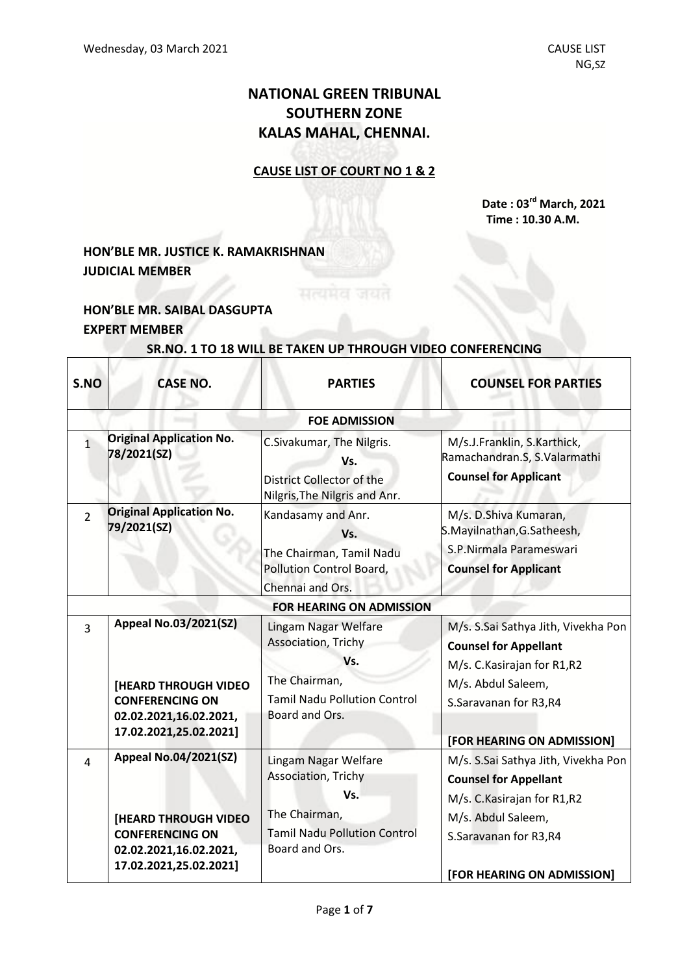# **NATIONAL GREEN TRIBUNAL SOUTHERN ZONE KALAS MAHAL, CHENNAI.**

### **CAUSE LIST OF COURT NO 1 & 2**

**Date : 03 rd March, 2021 Time : 10.30 A.M.**

# **HON'BLE MR. JUSTICE K. RAMAKRISHNAN JUDICIAL MEMBER**

## **HON'BLE MR. SAIBAL DASGUPTA EXPERT MEMBER**

#### **SR.NO. 1 TO 18 WILL BE TAKEN UP THROUGH VIDEO CONFERENCING**

| S.NO           | <b>CASE NO.</b>                                                                                                                           | <b>PARTIES</b>                                                                                                               | <b>COUNSEL FOR PARTIES</b>                                                                                                                                                       |  |  |  |
|----------------|-------------------------------------------------------------------------------------------------------------------------------------------|------------------------------------------------------------------------------------------------------------------------------|----------------------------------------------------------------------------------------------------------------------------------------------------------------------------------|--|--|--|
|                | <b>FOE ADMISSION</b>                                                                                                                      |                                                                                                                              |                                                                                                                                                                                  |  |  |  |
| $\mathbf{1}$   | <b>Original Application No.</b><br>78/2021(SZ)                                                                                            | C.Sivakumar, The Nilgris.<br>Vs.<br>District Collector of the<br>Nilgris, The Nilgris and Anr.                               | M/s.J.Franklin, S.Karthick,<br>Ramachandran.S, S.Valarmathi<br><b>Counsel for Applicant</b>                                                                                      |  |  |  |
| $\overline{2}$ | <b>Original Application No.</b><br>79/2021(SZ)                                                                                            | Kandasamy and Anr.<br>Vs.<br>The Chairman, Tamil Nadu<br>Pollution Control Board,                                            | M/s. D.Shiva Kumaran,<br>S.Mayilnathan, G.Satheesh,<br>S.P.Nirmala Parameswari<br><b>Counsel for Applicant</b>                                                                   |  |  |  |
|                |                                                                                                                                           | Chennai and Ors.<br><b>FOR HEARING ON ADMISSION</b>                                                                          |                                                                                                                                                                                  |  |  |  |
| $\overline{3}$ | <b>Appeal No.03/2021(SZ)</b><br>[HEARD THROUGH VIDEO<br><b>CONFERENCING ON</b><br>02.02.2021,16.02.2021,<br>17.02.2021,25.02.2021]        | Lingam Nagar Welfare<br>Association, Trichy<br>Vs.<br>The Chairman,<br><b>Tamil Nadu Pollution Control</b><br>Board and Ors. | M/s. S.Sai Sathya Jith, Vivekha Pon<br><b>Counsel for Appellant</b><br>M/s. C. Kasirajan for R1, R2<br>M/s. Abdul Saleem,<br>S.Saravanan for R3,R4<br>[FOR HEARING ON ADMISSION] |  |  |  |
| 4              | <b>Appeal No.04/2021(SZ)</b><br><b>[HEARD THROUGH VIDEO</b><br><b>CONFERENCING ON</b><br>02.02.2021,16.02.2021,<br>17.02.2021,25.02.2021] | Lingam Nagar Welfare<br>Association, Trichy<br>Vs.<br>The Chairman,<br><b>Tamil Nadu Pollution Control</b><br>Board and Ors. | M/s. S.Sai Sathya Jith, Vivekha Pon<br><b>Counsel for Appellant</b><br>M/s. C. Kasirajan for R1, R2<br>M/s. Abdul Saleem,<br>S.Saravanan for R3,R4<br>[FOR HEARING ON ADMISSION] |  |  |  |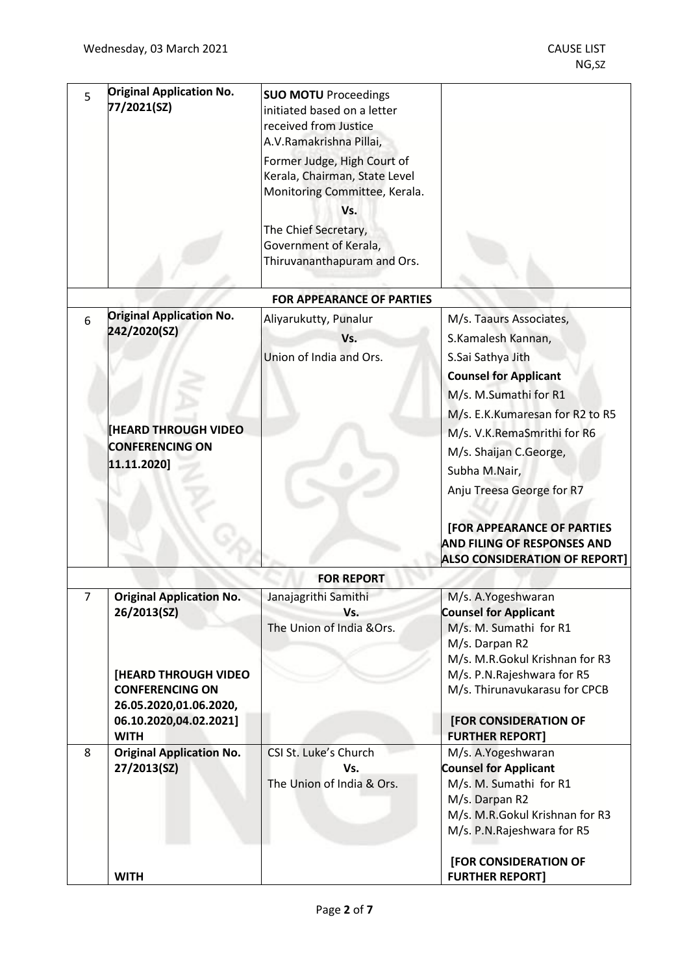| 5 | <b>Original Application No.</b><br>77/2021(SZ) | <b>SUO MOTU Proceedings</b><br>initiated based on a letter<br>received from Justice<br>A.V.Ramakrishna Pillai,<br>Former Judge, High Court of<br>Kerala, Chairman, State Level<br>Monitoring Committee, Kerala.<br>Vs.<br>The Chief Secretary,<br>Government of Kerala,<br>Thiruvananthapuram and Ors. |                                      |
|---|------------------------------------------------|--------------------------------------------------------------------------------------------------------------------------------------------------------------------------------------------------------------------------------------------------------------------------------------------------------|--------------------------------------|
|   |                                                | <b>FOR APPEARANCE OF PARTIES</b>                                                                                                                                                                                                                                                                       |                                      |
|   | <b>Original Application No.</b>                |                                                                                                                                                                                                                                                                                                        |                                      |
| 6 | 242/2020(SZ)                                   | Aliyarukutty, Punalur                                                                                                                                                                                                                                                                                  | M/s. Taaurs Associates,              |
|   |                                                | Vs.                                                                                                                                                                                                                                                                                                    | S.Kamalesh Kannan,                   |
|   |                                                | Union of India and Ors.                                                                                                                                                                                                                                                                                | S.Sai Sathya Jith                    |
|   |                                                |                                                                                                                                                                                                                                                                                                        | <b>Counsel for Applicant</b>         |
|   |                                                |                                                                                                                                                                                                                                                                                                        |                                      |
|   |                                                |                                                                                                                                                                                                                                                                                                        | M/s. M.Sumathi for R1                |
|   |                                                |                                                                                                                                                                                                                                                                                                        | M/s. E.K.Kumaresan for R2 to R5      |
|   | <b>HEARD THROUGH VIDEO</b>                     |                                                                                                                                                                                                                                                                                                        | M/s. V.K.RemaSmrithi for R6          |
|   | <b>CONFERENCING ON</b><br>11.11.2020]          |                                                                                                                                                                                                                                                                                                        | M/s. Shaijan C.George,               |
|   |                                                |                                                                                                                                                                                                                                                                                                        | Subha M.Nair,                        |
|   |                                                |                                                                                                                                                                                                                                                                                                        |                                      |
|   |                                                |                                                                                                                                                                                                                                                                                                        | Anju Treesa George for R7            |
|   |                                                |                                                                                                                                                                                                                                                                                                        |                                      |
|   |                                                |                                                                                                                                                                                                                                                                                                        | <b>[FOR APPEARANCE OF PARTIES</b>    |
|   |                                                |                                                                                                                                                                                                                                                                                                        | <b>AND FILING OF RESPONSES AND</b>   |
|   |                                                |                                                                                                                                                                                                                                                                                                        | <b>ALSO CONSIDERATION OF REPORT]</b> |
|   |                                                | <b>FOR REPORT</b>                                                                                                                                                                                                                                                                                      |                                      |
| 7 | <b>Original Application No.</b>                | Janajagrithi Samithi                                                                                                                                                                                                                                                                                   | M/s. A.Yogeshwaran                   |
|   | 26/2013(SZ)                                    | Vs.                                                                                                                                                                                                                                                                                                    | <b>Counsel for Applicant</b>         |
|   |                                                | The Union of India &Ors.                                                                                                                                                                                                                                                                               | M/s. M. Sumathi for R1               |
|   |                                                |                                                                                                                                                                                                                                                                                                        | M/s. Darpan R2                       |
|   |                                                |                                                                                                                                                                                                                                                                                                        | M/s. M.R.Gokul Krishnan for R3       |
|   | <b>[HEARD THROUGH VIDEO</b>                    |                                                                                                                                                                                                                                                                                                        | M/s. P.N.Rajeshwara for R5           |
|   | <b>CONFERENCING ON</b>                         |                                                                                                                                                                                                                                                                                                        | M/s. Thirunavukarasu for CPCB        |
|   | 26.05.2020,01.06.2020,                         |                                                                                                                                                                                                                                                                                                        |                                      |
|   | 06.10.2020,04.02.2021]                         |                                                                                                                                                                                                                                                                                                        | [FOR CONSIDERATION OF                |
|   | <b>WITH</b>                                    |                                                                                                                                                                                                                                                                                                        | <b>FURTHER REPORT]</b>               |
| 8 | <b>Original Application No.</b>                | CSI St. Luke's Church                                                                                                                                                                                                                                                                                  | M/s. A.Yogeshwaran                   |
|   | 27/2013(SZ)                                    | Vs.                                                                                                                                                                                                                                                                                                    | <b>Counsel for Applicant</b>         |
|   |                                                | The Union of India & Ors.                                                                                                                                                                                                                                                                              | M/s. M. Sumathi for R1               |
|   |                                                |                                                                                                                                                                                                                                                                                                        | M/s. Darpan R2                       |
|   |                                                |                                                                                                                                                                                                                                                                                                        | M/s. M.R.Gokul Krishnan for R3       |
|   |                                                |                                                                                                                                                                                                                                                                                                        | M/s. P.N.Rajeshwara for R5           |
|   |                                                |                                                                                                                                                                                                                                                                                                        |                                      |
|   |                                                |                                                                                                                                                                                                                                                                                                        | [FOR CONSIDERATION OF                |
|   | <b>WITH</b>                                    |                                                                                                                                                                                                                                                                                                        | <b>FURTHER REPORT]</b>               |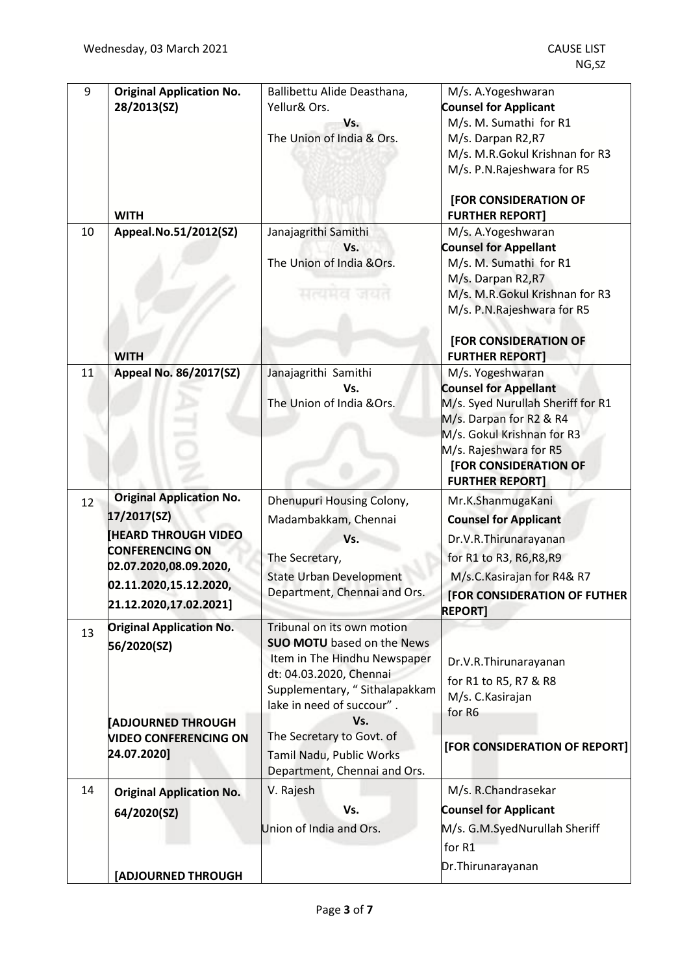| 9  | <b>Original Application No.</b> | Ballibettu Alide Deasthana,                                       | M/s. A.Yogeshwaran                                     |
|----|---------------------------------|-------------------------------------------------------------------|--------------------------------------------------------|
|    | 28/2013(SZ)                     | Yellur& Ors.                                                      | <b>Counsel for Applicant</b>                           |
|    |                                 | Vs.                                                               | M/s. M. Sumathi for R1                                 |
|    |                                 | The Union of India & Ors.                                         | M/s. Darpan R2,R7                                      |
|    |                                 |                                                                   | M/s. M.R.Gokul Krishnan for R3                         |
|    |                                 |                                                                   | M/s. P.N.Rajeshwara for R5                             |
|    | <b>WITH</b>                     |                                                                   | <b>[FOR CONSIDERATION OF</b><br><b>FURTHER REPORT]</b> |
| 10 | Appeal.No.51/2012(SZ)           | Janajagrithi Samithi                                              | M/s. A.Yogeshwaran                                     |
|    |                                 | Vs.                                                               | <b>Counsel for Appellant</b>                           |
|    |                                 | The Union of India &Ors.                                          | M/s. M. Sumathi for R1                                 |
|    |                                 |                                                                   | M/s. Darpan R2,R7                                      |
|    |                                 | सत्यमेव जयत                                                       | M/s. M.R.Gokul Krishnan for R3                         |
|    |                                 |                                                                   | M/s. P.N.Rajeshwara for R5                             |
|    |                                 |                                                                   | [FOR CONSIDERATION OF                                  |
|    | <b>WITH</b>                     |                                                                   | <b>FURTHER REPORT]</b>                                 |
| 11 | Appeal No. 86/2017(SZ)          | Janajagrithi Samithi                                              | M/s. Yogeshwaran                                       |
|    |                                 | Vs.                                                               | <b>Counsel for Appellant</b>                           |
|    |                                 | The Union of India &Ors.                                          | M/s. Syed Nurullah Sheriff for R1                      |
|    |                                 |                                                                   | M/s. Darpan for R2 & R4                                |
|    |                                 |                                                                   | M/s. Gokul Krishnan for R3                             |
|    |                                 |                                                                   | M/s. Rajeshwara for R5<br><b>[FOR CONSIDERATION OF</b> |
|    |                                 |                                                                   | <b>FURTHER REPORT]</b>                                 |
|    | <b>Original Application No.</b> | Dhenupuri Housing Colony,                                         | Mr.K.ShanmugaKani                                      |
| 12 | 17/2017(SZ)                     |                                                                   |                                                        |
|    | <b>HEARD THROUGH VIDEO</b>      | Madambakkam, Chennai                                              | <b>Counsel for Applicant</b>                           |
|    | <b>CONFERENCING ON</b>          | Vs.                                                               | Dr.V.R.Thirunarayanan                                  |
|    | 02.07.2020,08.09.2020,          | The Secretary,                                                    | for R1 to R3, R6, R8, R9                               |
|    | 02.11.2020,15.12.2020,          | <b>State Urban Development</b>                                    | M/s.C.Kasirajan for R4& R7                             |
|    | 21.12.2020,17.02.2021]          | Department, Chennai and Ors.                                      | <b>FOR CONSIDERATION OF FUTHER</b>                     |
|    |                                 |                                                                   | <b>REPORT1</b>                                         |
| 13 | <b>Original Application No.</b> | Tribunal on its own motion                                        |                                                        |
|    | 56/2020(SZ)                     | <b>SUO MOTU</b> based on the News<br>Item in The Hindhu Newspaper |                                                        |
|    |                                 | dt: 04.03.2020, Chennai                                           | Dr.V.R.Thirunarayanan                                  |
|    |                                 | Supplementary, "Sithalapakkam                                     | for R1 to R5, R7 & R8                                  |
|    |                                 | lake in need of succour".                                         | M/s. C. Kasirajan                                      |
|    | <b>ADJOURNED THROUGH</b>        | Vs.                                                               | for R6                                                 |
|    | <b>VIDEO CONFERENCING ON</b>    | The Secretary to Govt. of                                         | [FOR CONSIDERATION OF REPORT]                          |
|    | 24.07.2020]                     | Tamil Nadu, Public Works                                          |                                                        |
|    |                                 | Department, Chennai and Ors.                                      |                                                        |
| 14 | <b>Original Application No.</b> | V. Rajesh                                                         | M/s. R.Chandrasekar                                    |
|    | 64/2020(SZ)                     | Vs.                                                               | <b>Counsel for Applicant</b>                           |
|    |                                 | Union of India and Ors.                                           | M/s. G.M.SyedNurullah Sheriff                          |
|    |                                 |                                                                   | for R1                                                 |
|    |                                 |                                                                   | Dr. Thirunarayanan                                     |
|    | [ADJOURNED THROUGH              |                                                                   |                                                        |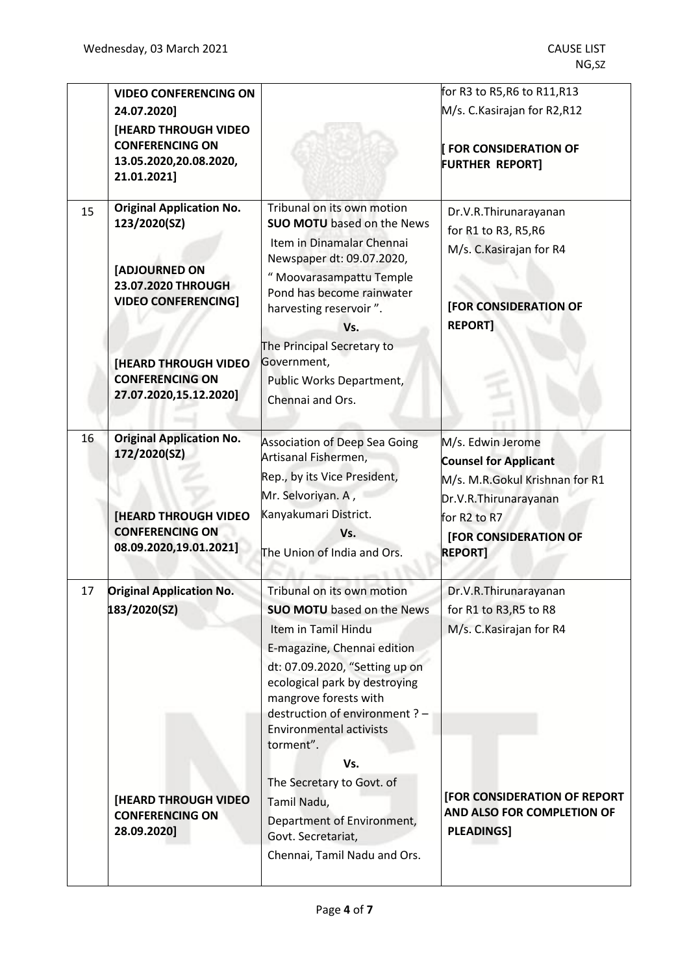|                                                                                                                                                                                                         |                                                                                                                                                                                                                                                                                                                                                                                                                                           | for R3 to R5,R6 to R11,R13                                                                                                                                                                       |
|---------------------------------------------------------------------------------------------------------------------------------------------------------------------------------------------------------|-------------------------------------------------------------------------------------------------------------------------------------------------------------------------------------------------------------------------------------------------------------------------------------------------------------------------------------------------------------------------------------------------------------------------------------------|--------------------------------------------------------------------------------------------------------------------------------------------------------------------------------------------------|
| <b>[HEARD THROUGH VIDEO</b><br><b>CONFERENCING ON</b><br>13.05.2020,20.08.2020,                                                                                                                         |                                                                                                                                                                                                                                                                                                                                                                                                                                           | M/s. C.Kasirajan for R2,R12<br><b>FOR CONSIDERATION OF</b><br><b>FURTHER REPORT]</b>                                                                                                             |
|                                                                                                                                                                                                         |                                                                                                                                                                                                                                                                                                                                                                                                                                           |                                                                                                                                                                                                  |
| <b>Original Application No.</b><br>123/2020(SZ)<br>[ADJOURNED ON<br>23.07.2020 THROUGH<br><b>VIDEO CONFERENCING]</b><br><b>[HEARD THROUGH VIDEO</b><br><b>CONFERENCING ON</b><br>27.07.2020,15.12.2020] | Tribunal on its own motion<br><b>SUO MOTU</b> based on the News<br>Item in Dinamalar Chennai<br>Newspaper dt: 09.07.2020,<br>" Moovarasampattu Temple<br>Pond has become rainwater<br>harvesting reservoir".<br>Vs.<br>The Principal Secretary to<br>Government,<br>Public Works Department,<br>Chennai and Ors.                                                                                                                          | Dr.V.R.Thirunarayanan<br>for R1 to R3, R5, R6<br>M/s. C. Kasirajan for R4<br>[FOR CONSIDERATION OF<br><b>REPORT]</b>                                                                             |
| <b>Original Application No.</b><br>172/2020(SZ)<br><b>[HEARD THROUGH VIDEO</b><br><b>CONFERENCING ON</b><br>08.09.2020,19.01.2021]                                                                      | <b>Association of Deep Sea Going</b><br>Artisanal Fishermen,<br>Rep., by its Vice President,<br>Mr. Selvoriyan. A,<br>Kanyakumari District.<br>Vs.<br>The Union of India and Ors.                                                                                                                                                                                                                                                         | M/s. Edwin Jerome<br><b>Counsel for Applicant</b><br>M/s. M.R.Gokul Krishnan for R1<br>Dr.V.R. Thirunarayanan<br>for R <sub>2</sub> to R <sub>7</sub><br>[FOR CONSIDERATION OF<br><b>REPORT]</b> |
| <b>Original Application No.</b><br>183/2020(SZ)<br><b>[HEARD THROUGH VIDEO</b><br><b>CONFERENCING ON</b><br>28.09.2020]                                                                                 | Tribunal on its own motion<br><b>SUO MOTU</b> based on the News<br>Item in Tamil Hindu<br>E-magazine, Chennai edition<br>dt: 07.09.2020, "Setting up on<br>ecological park by destroying<br>mangrove forests with<br>destruction of environment ? -<br><b>Environmental activists</b><br>torment".<br>Vs.<br>The Secretary to Govt. of<br>Tamil Nadu,<br>Department of Environment,<br>Govt. Secretariat,<br>Chennai, Tamil Nadu and Ors. | Dr.V.R.Thirunarayanan<br>for R1 to R3, R5 to R8<br>M/s. C. Kasirajan for R4<br>[FOR CONSIDERATION OF REPORT<br>AND ALSO FOR COMPLETION OF<br><b>PLEADINGS]</b>                                   |
|                                                                                                                                                                                                         | <b>VIDEO CONFERENCING ON</b><br>24.07.2020]<br>21.01.2021]                                                                                                                                                                                                                                                                                                                                                                                |                                                                                                                                                                                                  |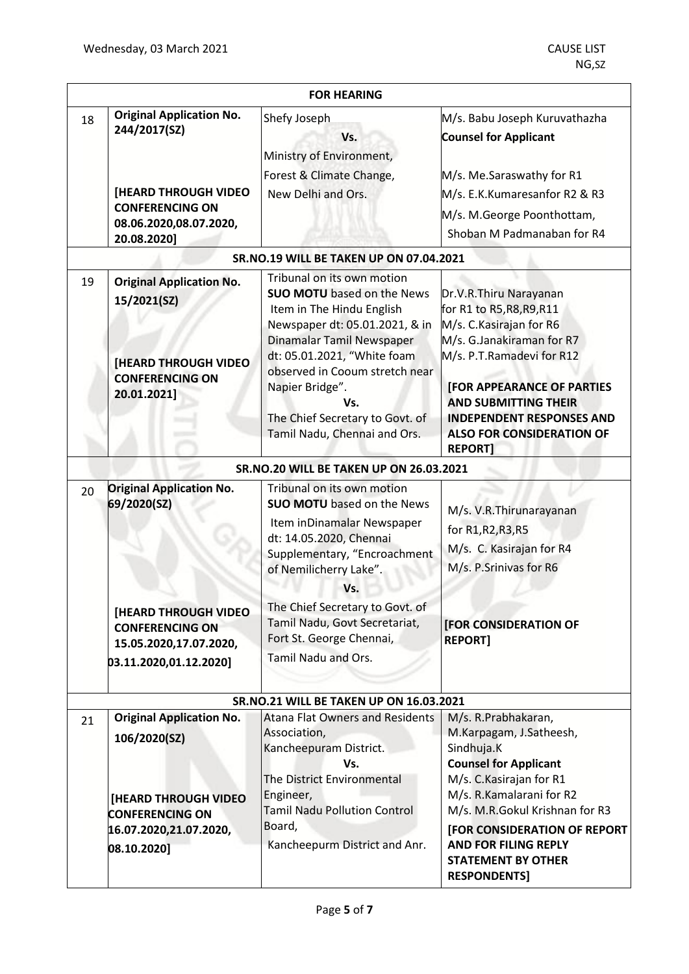|    | <b>FOR HEARING</b>                                                                                                                                |                                                                                                                                                                                                                                                                                                                           |                                                                                                                                                                                                                                                                                       |  |
|----|---------------------------------------------------------------------------------------------------------------------------------------------------|---------------------------------------------------------------------------------------------------------------------------------------------------------------------------------------------------------------------------------------------------------------------------------------------------------------------------|---------------------------------------------------------------------------------------------------------------------------------------------------------------------------------------------------------------------------------------------------------------------------------------|--|
| 18 | <b>Original Application No.</b><br>244/2017(SZ)<br><b>[HEARD THROUGH VIDEO</b><br><b>CONFERENCING ON</b><br>08.06.2020,08.07.2020,<br>20.08.2020] | Shefy Joseph<br>Vs.<br>Ministry of Environment,<br>Forest & Climate Change,<br>New Delhi and Ors.                                                                                                                                                                                                                         | M/s. Babu Joseph Kuruvathazha<br><b>Counsel for Applicant</b><br>M/s. Me.Saraswathy for R1<br>M/s. E.K.Kumaresanfor R2 & R3<br>M/s. M. George Poonthottam,<br>Shoban M Padmanaban for R4                                                                                              |  |
|    |                                                                                                                                                   | SR.NO.19 WILL BE TAKEN UP ON 07.04.2021                                                                                                                                                                                                                                                                                   |                                                                                                                                                                                                                                                                                       |  |
| 19 | <b>Original Application No.</b><br>15/2021(SZ)<br><b>[HEARD THROUGH VIDEO</b><br><b>CONFERENCING ON</b><br>20.01.2021]                            | Tribunal on its own motion<br><b>SUO MOTU</b> based on the News<br>Item in The Hindu English<br>Newspaper dt: 05.01.2021, & in<br>Dinamalar Tamil Newspaper<br>dt: 05.01.2021, "White foam<br>observed in Cooum stretch near<br>Napier Bridge".<br>Vs.<br>The Chief Secretary to Govt. of<br>Tamil Nadu, Chennai and Ors. | Dr.V.R.Thiru Narayanan<br>for R1 to R5, R8, R9, R11<br>M/s. C. Kasirajan for R6<br>M/s. G.Janakiraman for R7<br>M/s. P.T.Ramadevi for R12<br><b>[FOR APPEARANCE OF PARTIES</b><br><b>AND SUBMITTING THEIR</b><br><b>INDEPENDENT RESPONSES AND</b><br><b>ALSO FOR CONSIDERATION OF</b> |  |
|    |                                                                                                                                                   |                                                                                                                                                                                                                                                                                                                           | <b>REPORT]</b>                                                                                                                                                                                                                                                                        |  |
| 20 | <b>Original Application No.</b><br>69/2020(SZ)                                                                                                    | SR.NO.20 WILL BE TAKEN UP ON 26.03.2021<br>Tribunal on its own motion<br><b>SUO MOTU</b> based on the News<br>Item inDinamalar Newspaper<br>dt: 14.05.2020, Chennai<br>Supplementary, "Encroachment<br>of Nemilicherry Lake".<br>Vs.                                                                                      | M/s. V.R.Thirunarayanan<br>for R1, R2, R3, R5<br>M/s. C. Kasirajan for R4<br>M/s. P.Srinivas for R6                                                                                                                                                                                   |  |
|    | <b>[HEARD THROUGH VIDEO</b><br><b>CONFERENCING ON</b><br>15.05.2020,17.07.2020,<br>03.11.2020,01.12.2020]                                         | The Chief Secretary to Govt. of<br>Tamil Nadu, Govt Secretariat,<br>Fort St. George Chennai,<br><b>Tamil Nadu and Ors.</b>                                                                                                                                                                                                | [FOR CONSIDERATION OF<br><b>REPORT1</b>                                                                                                                                                                                                                                               |  |
|    |                                                                                                                                                   | <b>SR.NO.21 WILL BE TAKEN UP ON 16.03.2021</b>                                                                                                                                                                                                                                                                            |                                                                                                                                                                                                                                                                                       |  |
| 21 | <b>Original Application No.</b><br>106/2020(SZ)<br>[HEARD THROUGH VIDEO<br><b>CONFERENCING ON</b><br>16.07.2020,21.07.2020,                       | <b>Atana Flat Owners and Residents</b><br>Association,<br>Kancheepuram District.<br>Vs.<br>The District Environmental<br>Engineer,<br><b>Tamil Nadu Pollution Control</b><br>Board,                                                                                                                                       | M/s. R.Prabhakaran,<br>M.Karpagam, J.Satheesh,<br>Sindhuja.K<br><b>Counsel for Applicant</b><br>M/s. C. Kasirajan for R1<br>M/s. R.Kamalarani for R2<br>M/s. M.R.Gokul Krishnan for R3<br>[FOR CONSIDERATION OF REPORT                                                                |  |
|    | 08.10.2020]                                                                                                                                       | Kancheepurm District and Anr.                                                                                                                                                                                                                                                                                             | <b>AND FOR FILING REPLY</b><br><b>STATEMENT BY OTHER</b><br><b>RESPONDENTS]</b>                                                                                                                                                                                                       |  |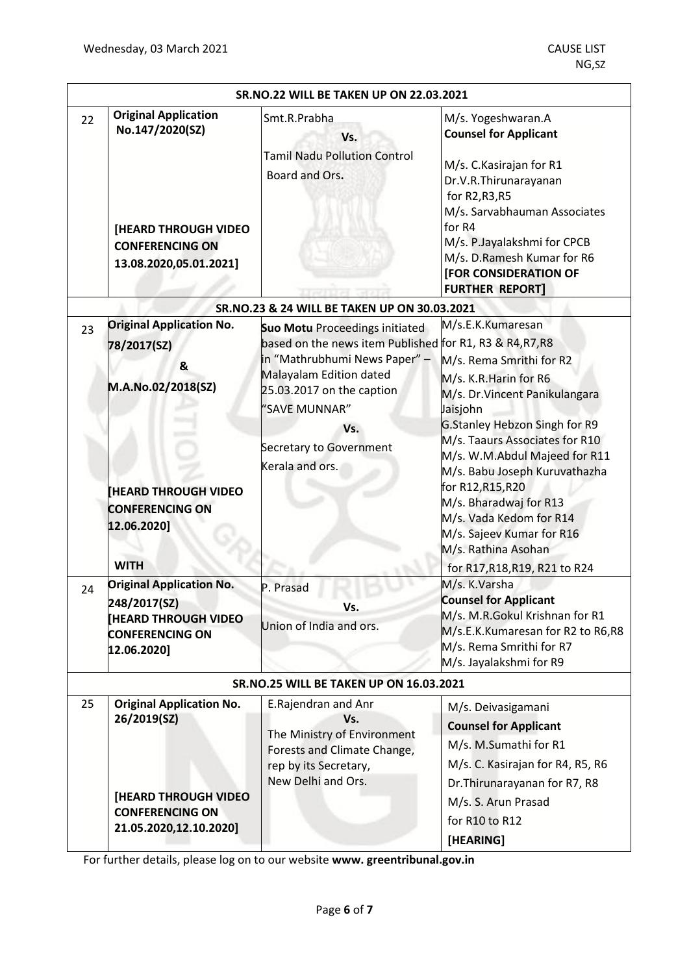| <b>SR.NO.22 WILL BE TAKEN UP ON 22.03.2021</b> |                                                                                                                                                                                                                                                                                           |                                                                                                                                                                                                                                                                                                               |                                                                                                                                                                                                                                                                                                                                                                                                                                                                                                                                                                                                          |  |
|------------------------------------------------|-------------------------------------------------------------------------------------------------------------------------------------------------------------------------------------------------------------------------------------------------------------------------------------------|---------------------------------------------------------------------------------------------------------------------------------------------------------------------------------------------------------------------------------------------------------------------------------------------------------------|----------------------------------------------------------------------------------------------------------------------------------------------------------------------------------------------------------------------------------------------------------------------------------------------------------------------------------------------------------------------------------------------------------------------------------------------------------------------------------------------------------------------------------------------------------------------------------------------------------|--|
| 22                                             | <b>Original Application</b><br>No.147/2020(SZ)<br>[HEARD THROUGH VIDEO<br><b>CONFERENCING ON</b><br>13.08.2020,05.01.2021]                                                                                                                                                                | Smt.R.Prabha<br>Vs.<br><b>Tamil Nadu Pollution Control</b><br>Board and Ors.                                                                                                                                                                                                                                  | M/s. Yogeshwaran.A<br><b>Counsel for Applicant</b><br>M/s. C. Kasirajan for R1<br>Dr.V.R.Thirunarayanan<br>for R2, R3, R5<br>M/s. Sarvabhauman Associates<br>for R4<br>M/s. P.Jayalakshmi for CPCB<br>M/s. D.Ramesh Kumar for R6<br><b>[FOR CONSIDERATION OF</b><br><b>FURTHER REPORT]</b>                                                                                                                                                                                                                                                                                                               |  |
|                                                |                                                                                                                                                                                                                                                                                           | SR.NO.23 & 24 WILL BE TAKEN UP ON 30.03.2021                                                                                                                                                                                                                                                                  |                                                                                                                                                                                                                                                                                                                                                                                                                                                                                                                                                                                                          |  |
| 23<br>24                                       | <b>Original Application No.</b><br>78/2017(SZ)<br>&<br>M.A.No.02/2018(SZ)<br><b>HEARD THROUGH VIDEO</b><br><b>CONFERENCING ON</b><br>12.06.2020]<br><b>WITH</b><br><b>Original Application No.</b><br>248/2017(SZ)<br><b>HEARD THROUGH VIDEO</b><br><b>CONFERENCING ON</b><br>12.06.2020] | <b>Suo Motu Proceedings initiated</b><br>based on the news item Published for R1, R3 & R4,R7,R8<br>in "Mathrubhumi News Paper" -<br>Malayalam Edition dated<br>25.03.2017 on the caption<br>"SAVE MUNNAR"<br>Vs.<br>Secretary to Government<br>Kerala and ors.<br>P. Prasad<br>Vs.<br>Union of India and ors. | M/s.E.K.Kumaresan<br>M/s. Rema Smrithi for R2<br>M/s. K.R. Harin for R6<br>M/s. Dr. Vincent Panikulangara<br>Jaisjohn<br>G.Stanley Hebzon Singh for R9<br>M/s. Taaurs Associates for R10<br>M/s. W.M.Abdul Majeed for R11<br>M/s. Babu Joseph Kuruvathazha<br>for R12, R15, R20<br>M/s. Bharadwaj for R13<br>M/s. Vada Kedom for R14<br>M/s. Sajeev Kumar for R16<br>M/s. Rathina Asohan<br>for R17, R18, R19, R21 to R24<br>M/s. K.Varsha<br><b>Counsel for Applicant</b><br>M/s. M.R.Gokul Krishnan for R1<br>M/s.E.K.Kumaresan for R2 to R6,R8<br>M/s. Rema Smrithi for R7<br>M/s. Jayalakshmi for R9 |  |
| <b>SR.NO.25 WILL BE TAKEN UP ON 16.03.2021</b> |                                                                                                                                                                                                                                                                                           |                                                                                                                                                                                                                                                                                                               |                                                                                                                                                                                                                                                                                                                                                                                                                                                                                                                                                                                                          |  |
| 25                                             | <b>Original Application No.</b><br>26/2019(SZ)<br><b>[HEARD THROUGH VIDEO</b><br><b>CONFERENCING ON</b><br>21.05.2020,12.10.2020]                                                                                                                                                         | E.Rajendran and Anr<br>Vs.<br>The Ministry of Environment<br>Forests and Climate Change,<br>rep by its Secretary,<br>New Delhi and Ors.                                                                                                                                                                       | M/s. Deivasigamani<br><b>Counsel for Applicant</b><br>M/s. M.Sumathi for R1<br>M/s. C. Kasirajan for R4, R5, R6<br>Dr. Thirunarayanan for R7, R8<br>M/s. S. Arun Prasad<br>for R10 to R12<br>[HEARING]                                                                                                                                                                                                                                                                                                                                                                                                   |  |

For further details, please log on to our website **www. greentribunal.gov.in**